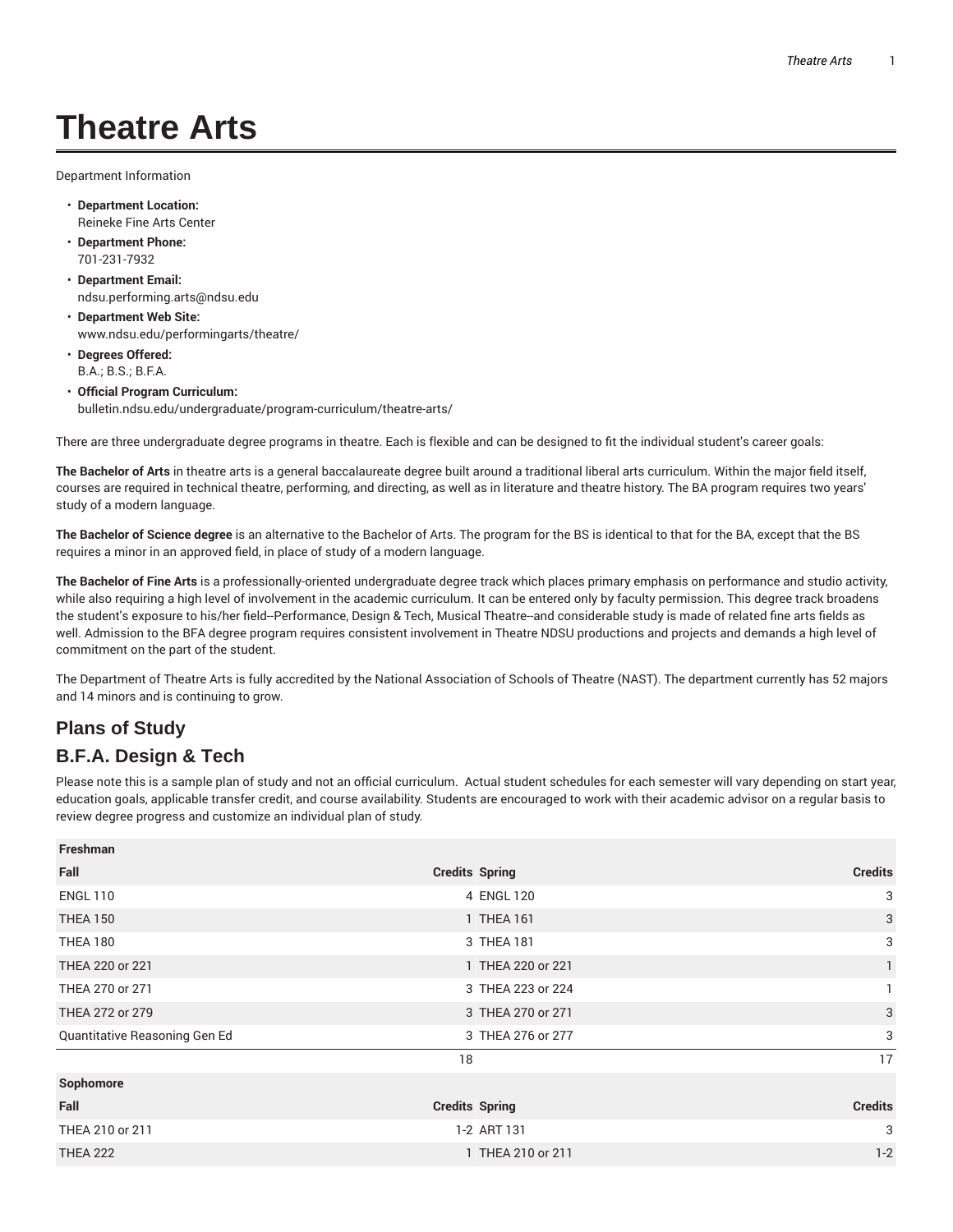# **Theatre Arts**

Department Information

- **Department Location:** Reineke Fine Arts Center
- **Department Phone:** 701-231-7932
- **Department Email:** ndsu.performing.arts@ndsu.edu
- **Department Web Site:** www.ndsu.edu/performingarts/theatre/
- **Degrees Offered:** B.A.; B.S.; B.F.A.
- **Official Program Curriculum:** bulletin.ndsu.edu/undergraduate/program-curriculum/theatre-arts/

There are three undergraduate degree programs in theatre. Each is flexible and can be designed to fit the individual student's career goals:

**The Bachelor of Arts** in theatre arts is a general baccalaureate degree built around a traditional liberal arts curriculum. Within the major field itself, courses are required in technical theatre, performing, and directing, as well as in literature and theatre history. The BA program requires two years' study of a modern language.

**The Bachelor of Science degree** is an alternative to the Bachelor of Arts. The program for the BS is identical to that for the BA, except that the BS requires a minor in an approved field, in place of study of a modern language.

**The Bachelor of Fine Arts** is a professionally-oriented undergraduate degree track which places primary emphasis on performance and studio activity, while also requiring a high level of involvement in the academic curriculum. It can be entered only by faculty permission. This degree track broadens the student's exposure to his/her field--Performance, Design & Tech, Musical Theatre--and considerable study is made of related fine arts fields as well. Admission to the BFA degree program requires consistent involvement in Theatre NDSU productions and projects and demands a high level of commitment on the part of the student.

The Department of Theatre Arts is fully accredited by the National Association of Schools of Theatre (NAST). The department currently has 52 majors and 14 minors and is continuing to grow.

## **Plans of Study**

#### **B.F.A. Design & Tech**

Please note this is a sample plan of study and not an official curriculum. Actual student schedules for each semester will vary depending on start year, education goals, applicable transfer credit, and course availability. Students are encouraged to work with their academic advisor on a regular basis to review degree progress and customize an individual plan of study.

| <b>Freshman</b>               |                       |                |
|-------------------------------|-----------------------|----------------|
| Fall                          | <b>Credits Spring</b> | <b>Credits</b> |
| <b>ENGL 110</b>               | 4 ENGL 120            | 3              |
| <b>THEA 150</b>               | 1 THEA 161            | 3              |
| <b>THEA 180</b>               | 3 THEA 181            | 3              |
| THEA 220 or 221               | 1 THEA 220 or 221     | $\mathbf{1}$   |
| THEA 270 or 271               | 3 THEA 223 or 224     |                |
| THEA 272 or 279               | 3 THEA 270 or 271     | 3              |
| Quantitative Reasoning Gen Ed | 3 THEA 276 or 277     | 3              |
|                               | 18                    | 17             |
| Sophomore                     |                       |                |
| Fall                          | <b>Credits Spring</b> | <b>Credits</b> |
| THEA 210 or 211               | 1-2 ART 131           | 3              |
| <b>THEA 222</b>               | 1 THEA 210 or 211     | $1 - 2$        |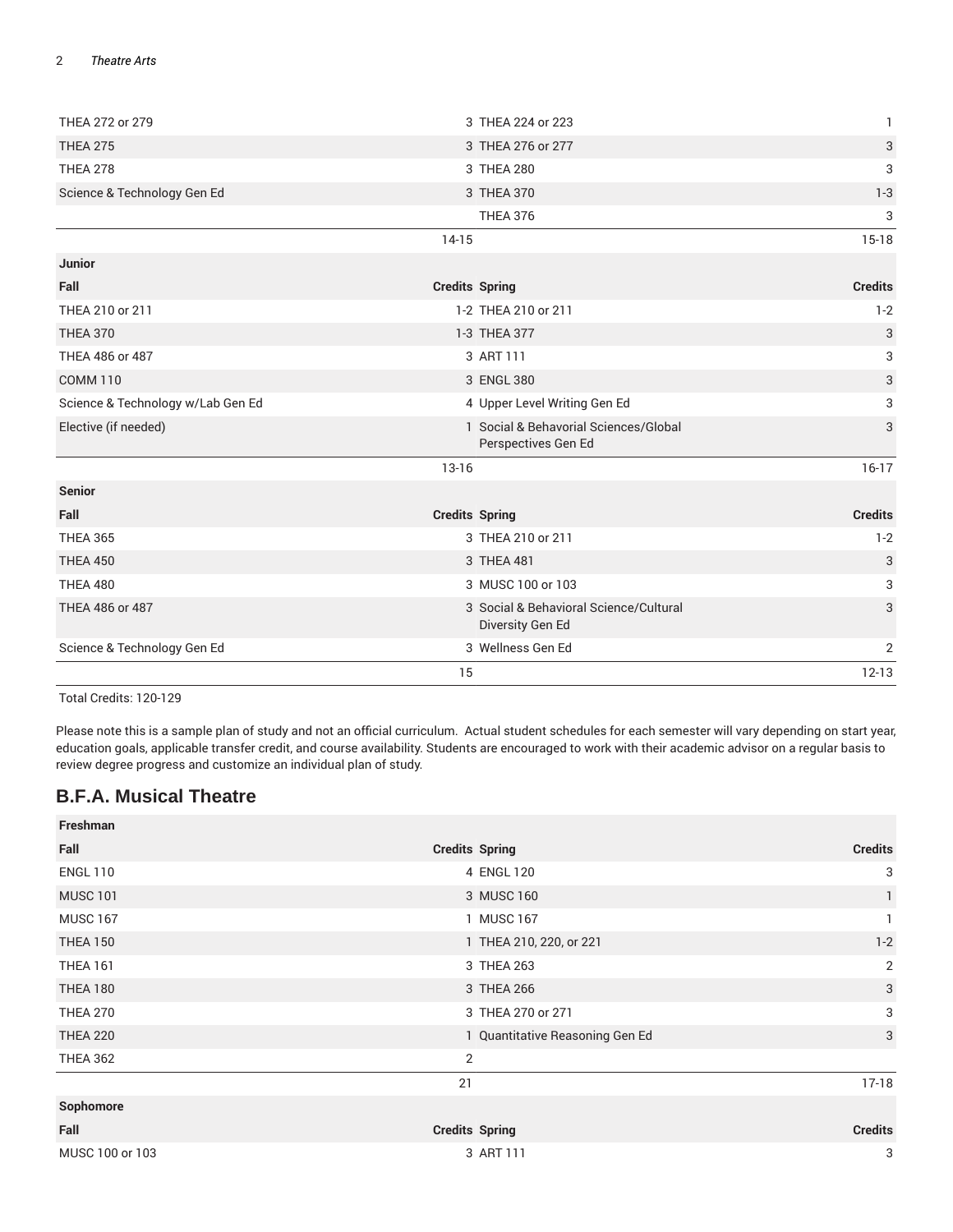#### 2 *Theatre Arts*

| THEA 272 or 279                   | 3 THEA 224 or 223                                            | $\mathbf{1}$              |
|-----------------------------------|--------------------------------------------------------------|---------------------------|
| <b>THEA 275</b>                   | 3 THEA 276 or 277                                            | 3                         |
| <b>THEA 278</b>                   | 3 THEA 280                                                   | 3                         |
| Science & Technology Gen Ed       | 3 THEA 370                                                   | $1 - 3$                   |
|                                   | <b>THEA 376</b>                                              | 3                         |
|                                   | $14-15$                                                      | $15-18$                   |
| Junior                            |                                                              |                           |
| Fall                              | <b>Credits Spring</b>                                        | <b>Credits</b>            |
| THEA 210 or 211                   | 1-2 THEA 210 or 211                                          | $1 - 2$                   |
| <b>THEA 370</b>                   | 1-3 THEA 377                                                 | $\ensuremath{\mathsf{3}}$ |
| THEA 486 or 487                   | 3 ART 111                                                    | 3                         |
| <b>COMM 110</b>                   | 3 ENGL 380                                                   | $\sqrt{3}$                |
| Science & Technology w/Lab Gen Ed | 4 Upper Level Writing Gen Ed                                 | 3                         |
| Elective (if needed)              | 1 Social & Behavorial Sciences/Global<br>Perspectives Gen Ed | 3                         |
|                                   | $13 - 16$                                                    | $16-17$                   |
| <b>Senior</b>                     |                                                              |                           |
| Fall                              | <b>Credits Spring</b>                                        | <b>Credits</b>            |
| <b>THEA 365</b>                   | 3 THEA 210 or 211                                            | $1 - 2$                   |
| <b>THEA 450</b>                   | 3 THEA 481                                                   | 3                         |
| <b>THEA 480</b>                   | 3 MUSC 100 or 103                                            | 3                         |
| THEA 486 or 487                   | 3 Social & Behavioral Science/Cultural<br>Diversity Gen Ed   | 3                         |
| Science & Technology Gen Ed       | 3 Wellness Gen Ed                                            | $\overline{2}$            |
|                                   | 15                                                           | $12 - 13$                 |

Total Credits: 120-129

Please note this is a sample plan of study and not an official curriculum. Actual student schedules for each semester will vary depending on start year, education goals, applicable transfer credit, and course availability. Students are encouraged to work with their academic advisor on a regular basis to review degree progress and customize an individual plan of study.

### **B.F.A. Musical Theatre**

| Freshman        |                         |                                 |                |
|-----------------|-------------------------|---------------------------------|----------------|
| Fall            | <b>Credits Spring</b>   |                                 | <b>Credits</b> |
| <b>ENGL 110</b> | 4 ENGL 120              |                                 | 3              |
| <b>MUSC 101</b> | 3 MUSC 160              |                                 | $\mathbf{1}$   |
| <b>MUSC 167</b> | 1 MUSC 167              |                                 | 1              |
| <b>THEA 150</b> | 1 THEA 210, 220, or 221 |                                 | $1-2$          |
| <b>THEA 161</b> | 3 THEA 263              |                                 | $\overline{2}$ |
| <b>THEA 180</b> | 3 THEA 266              |                                 | 3              |
| <b>THEA 270</b> | 3 THEA 270 or 271       |                                 | 3              |
| <b>THEA 220</b> |                         | 1 Quantitative Reasoning Gen Ed | 3              |
| <b>THEA 362</b> | 2                       |                                 |                |
|                 | 21                      |                                 | $17-18$        |
| Sophomore       |                         |                                 |                |
| Fall            | <b>Credits Spring</b>   |                                 | <b>Credits</b> |
| MUSC 100 or 103 | 3 ART 111               |                                 | 3              |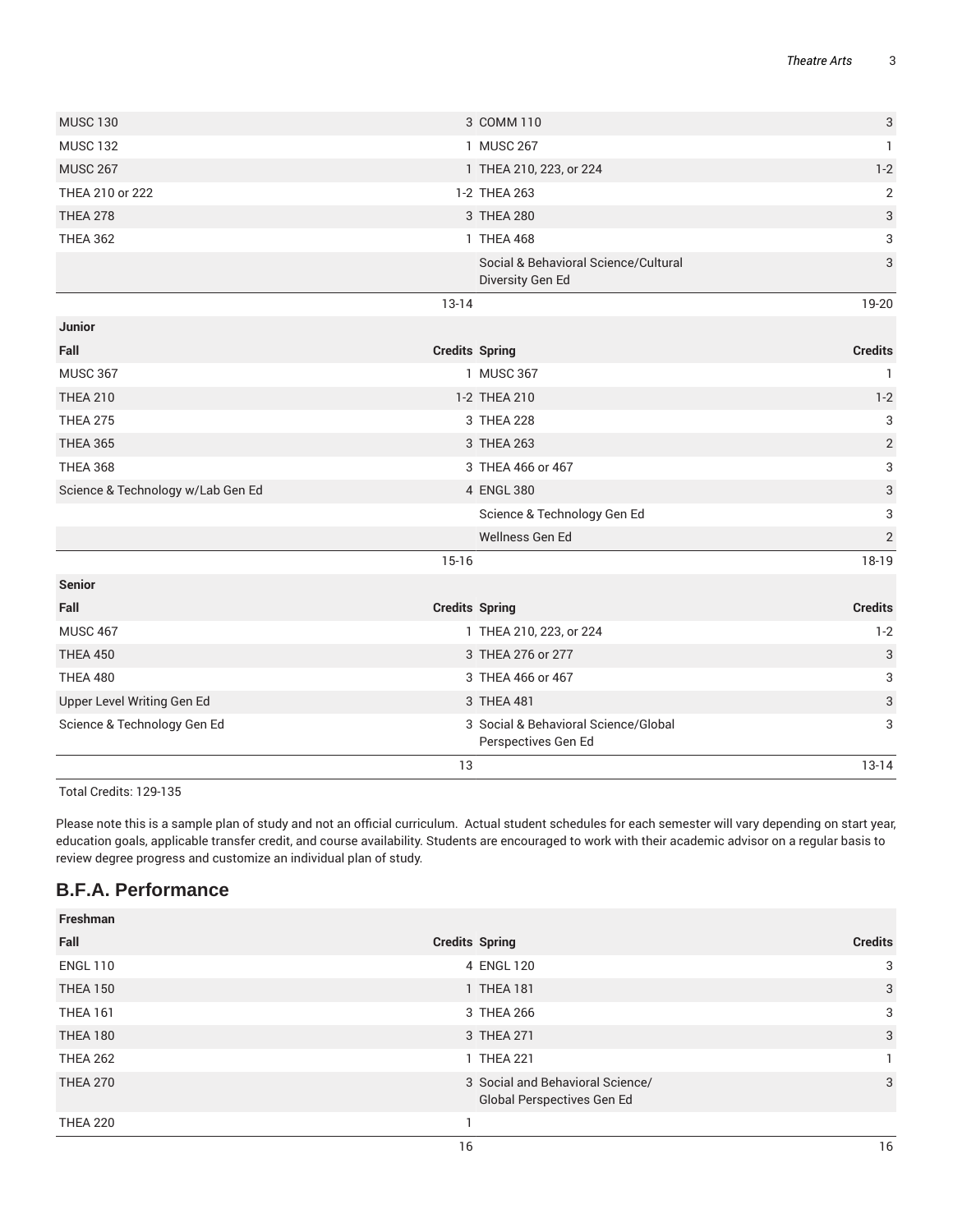|                                   | 13                                                          | $13 - 14$                 |
|-----------------------------------|-------------------------------------------------------------|---------------------------|
| Science & Technology Gen Ed       | 3 Social & Behavioral Science/Global<br>Perspectives Gen Ed | 3                         |
| Upper Level Writing Gen Ed        | 3 THEA 481                                                  | $\ensuremath{\mathsf{3}}$ |
| <b>THEA 480</b>                   | 3 THEA 466 or 467                                           | 3                         |
| <b>THEA 450</b>                   | 3 THEA 276 or 277                                           | 3                         |
| <b>MUSC 467</b>                   | 1 THEA 210, 223, or 224                                     | $1 - 2$                   |
| Fall                              | <b>Credits Spring</b>                                       | <b>Credits</b>            |
| <b>Senior</b>                     |                                                             |                           |
|                                   | $15 - 16$                                                   | 18-19                     |
|                                   | Wellness Gen Ed                                             | $\sqrt{2}$                |
|                                   | Science & Technology Gen Ed                                 | 3                         |
| Science & Technology w/Lab Gen Ed | 4 ENGL 380                                                  | 3                         |
| <b>THEA 368</b>                   | 3 THEA 466 or 467                                           | 3                         |
| <b>THEA 365</b>                   | 3 THEA 263                                                  | $\sqrt{2}$                |
| <b>THEA 275</b>                   | 3 THEA 228                                                  | 3                         |
| <b>THEA 210</b>                   | 1-2 THEA 210                                                | $1 - 2$                   |
| <b>MUSC 367</b>                   | 1 MUSC 367                                                  | $\mathbf{1}$              |
| Fall                              | <b>Credits Spring</b>                                       | <b>Credits</b>            |
| <b>Junior</b>                     |                                                             |                           |
|                                   | $13 - 14$                                                   | 19-20                     |
|                                   | Social & Behavioral Science/Cultural<br>Diversity Gen Ed    | 3                         |
| <b>THEA 362</b>                   | 1 THEA 468                                                  | 3                         |
| <b>THEA 278</b>                   | 3 THEA 280                                                  | $\ensuremath{\mathsf{3}}$ |
| THEA 210 or 222                   | 1-2 THEA 263                                                | $\overline{2}$            |
| <b>MUSC 267</b>                   | 1 THEA 210, 223, or 224                                     | $1 - 2$                   |
| <b>MUSC 132</b>                   | 1 MUSC 267                                                  | $\mathbf{1}$              |
| <b>MUSC 130</b>                   | 3 COMM 110                                                  | 3                         |
|                                   |                                                             |                           |

Total Credits: 129-135

Please note this is a sample plan of study and not an official curriculum. Actual student schedules for each semester will vary depending on start year, education goals, applicable transfer credit, and course availability. Students are encouraged to work with their academic advisor on a regular basis to review degree progress and customize an individual plan of study.

## **B.F.A. Performance**

| Freshman        |                                                                |                |
|-----------------|----------------------------------------------------------------|----------------|
| Fall            | <b>Credits Spring</b>                                          | <b>Credits</b> |
| <b>ENGL 110</b> | 4 ENGL 120                                                     | 3              |
| <b>THEA 150</b> | 1 THEA 181                                                     | 3              |
| <b>THEA 161</b> | 3 THEA 266                                                     | 3              |
| <b>THEA 180</b> | 3 THEA 271                                                     | 3              |
| <b>THEA 262</b> | 1 THEA 221                                                     |                |
| <b>THEA 270</b> | 3 Social and Behavioral Science/<br>Global Perspectives Gen Ed | 3              |
| <b>THEA 220</b> |                                                                |                |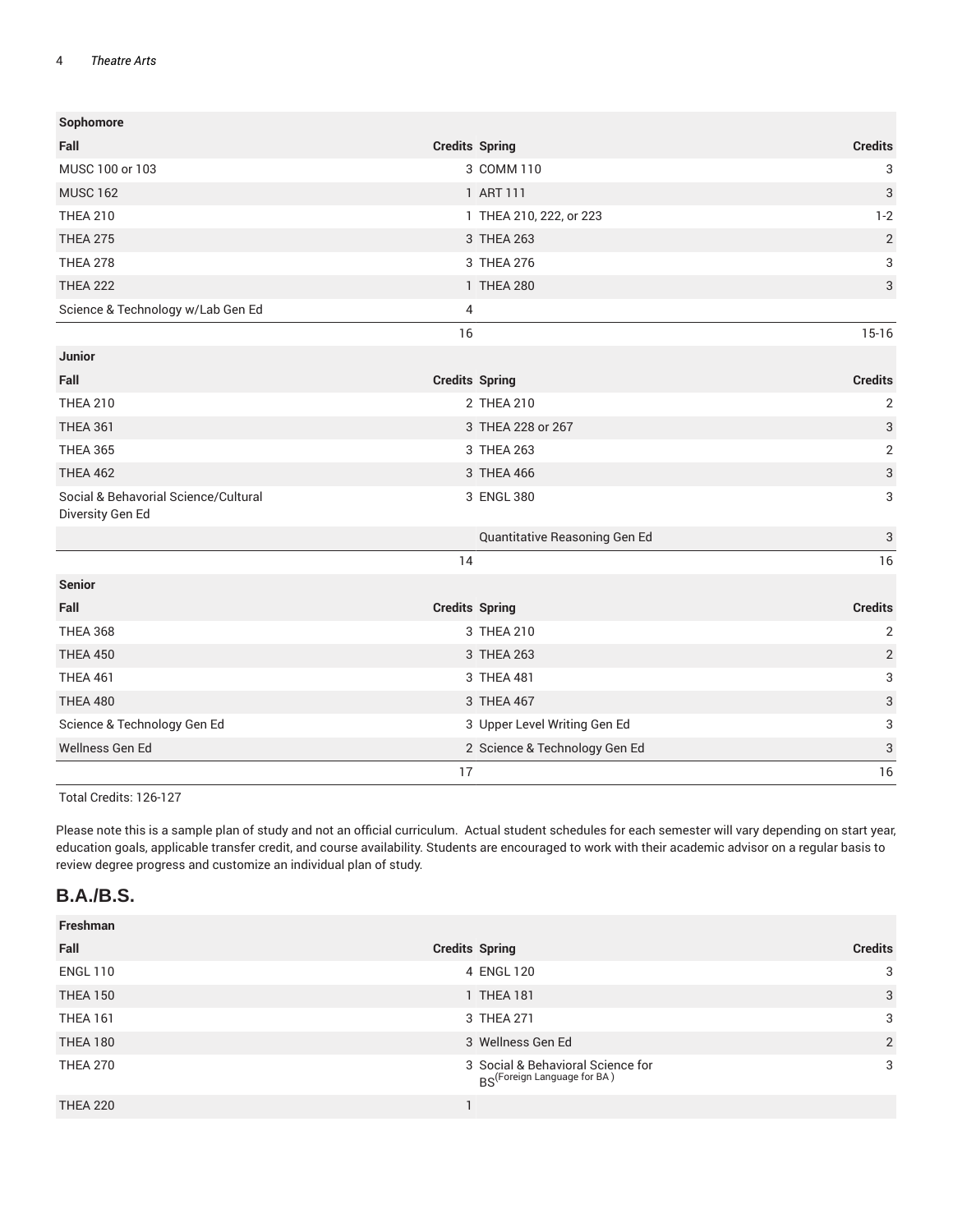#### 4 *Theatre Arts*

| Sophomore                                                |                       |                               |                           |
|----------------------------------------------------------|-----------------------|-------------------------------|---------------------------|
| Fall                                                     | <b>Credits Spring</b> |                               | <b>Credits</b>            |
| MUSC 100 or 103                                          |                       | 3 COMM 110                    | 3                         |
| <b>MUSC 162</b>                                          |                       | 1 ART 111                     | 3                         |
| <b>THEA 210</b>                                          |                       | 1 THEA 210, 222, or 223       | $1 - 2$                   |
| <b>THEA 275</b>                                          |                       | 3 THEA 263                    | $\overline{2}$            |
| <b>THEA 278</b>                                          |                       | 3 THEA 276                    | 3                         |
| <b>THEA 222</b>                                          |                       | 1 THEA 280                    | $\sqrt{3}$                |
| Science & Technology w/Lab Gen Ed                        | 4                     |                               |                           |
|                                                          | 16                    |                               | $15-16$                   |
| Junior                                                   |                       |                               |                           |
| Fall                                                     | <b>Credits Spring</b> |                               | <b>Credits</b>            |
| <b>THEA 210</b>                                          |                       | 2 THEA 210                    | $\overline{2}$            |
| <b>THEA 361</b>                                          |                       | 3 THEA 228 or 267             | 3                         |
| <b>THEA 365</b>                                          |                       | 3 THEA 263                    | $\sqrt{2}$                |
| <b>THEA 462</b>                                          |                       | 3 THEA 466                    | $\sqrt{3}$                |
| Social & Behavorial Science/Cultural<br>Diversity Gen Ed |                       | 3 ENGL 380                    | 3                         |
|                                                          |                       | Quantitative Reasoning Gen Ed | 3                         |
|                                                          | 14                    |                               | 16                        |
| <b>Senior</b>                                            |                       |                               |                           |
| Fall                                                     | <b>Credits Spring</b> |                               | <b>Credits</b>            |
| <b>THEA 368</b>                                          |                       | 3 THEA 210                    | $\overline{2}$            |
| <b>THEA 450</b>                                          |                       | 3 THEA 263                    | $\overline{2}$            |
| <b>THEA 461</b>                                          |                       | 3 THEA 481                    | 3                         |
| <b>THEA 480</b>                                          |                       | 3 THEA 467                    | $\ensuremath{\mathsf{3}}$ |
| Science & Technology Gen Ed                              |                       | 3 Upper Level Writing Gen Ed  | 3                         |
| Wellness Gen Ed                                          |                       | 2 Science & Technology Gen Ed | 3                         |
|                                                          | 17                    |                               | 16                        |

Total Credits: 126-127

Please note this is a sample plan of study and not an official curriculum. Actual student schedules for each semester will vary depending on start year, education goals, applicable transfer credit, and course availability. Students are encouraged to work with their academic advisor on a regular basis to review degree progress and customize an individual plan of study.

### **B.A./B.S.**

| Freshman        |                                                                              |                |
|-----------------|------------------------------------------------------------------------------|----------------|
| Fall            | <b>Credits Spring</b>                                                        | <b>Credits</b> |
| <b>ENGL 110</b> | 4 ENGL 120                                                                   | 3              |
| <b>THEA 150</b> | 1 THEA 181                                                                   | 3              |
| <b>THEA 161</b> | 3 THEA 271                                                                   | 3              |
| <b>THEA 180</b> | 3 Wellness Gen Ed                                                            | 2              |
| <b>THEA 270</b> | 3 Social & Behavioral Science for<br>BS <sup>(Foreign Language for BA)</sup> | 3              |
| <b>THEA 220</b> |                                                                              |                |